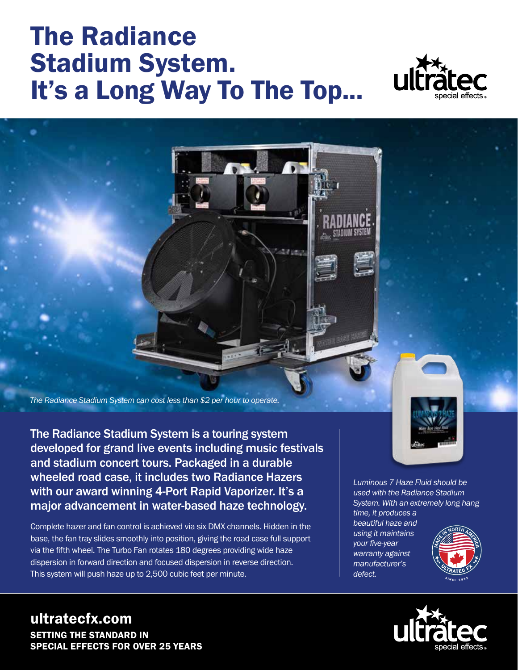## The Radiance Stadium System. It's a Long Way To The Top...



*The Radiance Stadium System can cost less than \$2 per hour to operate.*

The Radiance Stadium System is a touring system developed for grand live events including music festivals and stadium concert tours. Packaged in a durable wheeled road case, it includes two Radiance Hazers with our award winning 4-Port Rapid Vaporizer. It's a major advancement in water-based haze technology.

Complete hazer and fan control is achieved via six DMX channels. Hidden in the base, the fan tray slides smoothly into position, giving the road case full support via the fifth wheel. The Turbo Fan rotates 180 degrees providing wide haze dispersion in forward direction and focused dispersion in reverse direction. This system will push haze up to 2,500 cubic feet per minute.

*Luminous 7 Haze Fluid should be* 

*used with the Radiance Stadium System. With an extremely long hang time, it produces a* 

*beautiful haze and using it maintains your five-year warranty against manufacturer's defect.*





## ultratecfx.com SETTING THE STANDARD IN SPECIAL EFFECTS FOR OVER 25 YEARS